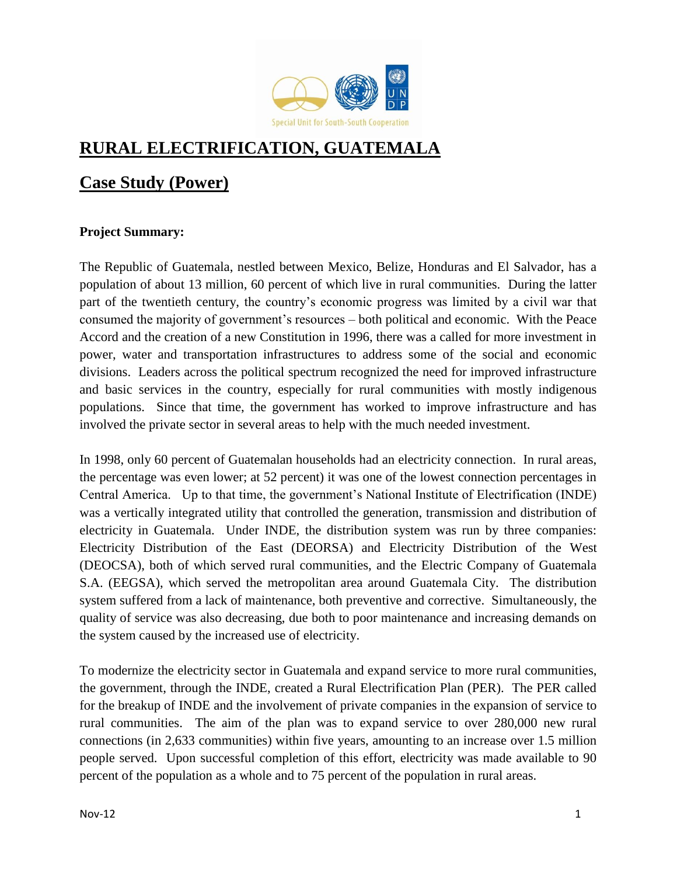

# **RURAL ELECTRIFICATION, GUATEMALA**

# **Case Study (Power)**

# **Project Summary:**

The Republic of Guatemala, nestled between Mexico, Belize, Honduras and El Salvador, has a population of about 13 million, 60 percent of which live in rural communities. During the latter part of the twentieth century, the country's economic progress was limited by a civil war that consumed the majority of government's resources – both political and economic. With the Peace Accord and the creation of a new Constitution in 1996, there was a called for more investment in power, water and transportation infrastructures to address some of the social and economic divisions. Leaders across the political spectrum recognized the need for improved infrastructure and basic services in the country, especially for rural communities with mostly indigenous populations. Since that time, the government has worked to improve infrastructure and has involved the private sector in several areas to help with the much needed investment.

In 1998, only 60 percent of Guatemalan households had an electricity connection. In rural areas, the percentage was even lower; at 52 percent) it was one of the lowest connection percentages in Central America. Up to that time, the government's National Institute of Electrification (INDE) was a vertically integrated utility that controlled the generation, transmission and distribution of electricity in Guatemala. Under INDE, the distribution system was run by three companies: Electricity Distribution of the East (DEORSA) and Electricity Distribution of the West (DEOCSA), both of which served rural communities, and the Electric Company of Guatemala S.A. (EEGSA), which served the metropolitan area around Guatemala City. The distribution system suffered from a lack of maintenance, both preventive and corrective. Simultaneously, the quality of service was also decreasing, due both to poor maintenance and increasing demands on the system caused by the increased use of electricity.

To modernize the electricity sector in Guatemala and expand service to more rural communities, the government, through the INDE, created a Rural Electrification Plan (PER). The PER called for the breakup of INDE and the involvement of private companies in the expansion of service to rural communities. The aim of the plan was to expand service to over 280,000 new rural connections (in 2,633 communities) within five years, amounting to an increase over 1.5 million people served. Upon successful completion of this effort, electricity was made available to 90 percent of the population as a whole and to 75 percent of the population in rural areas.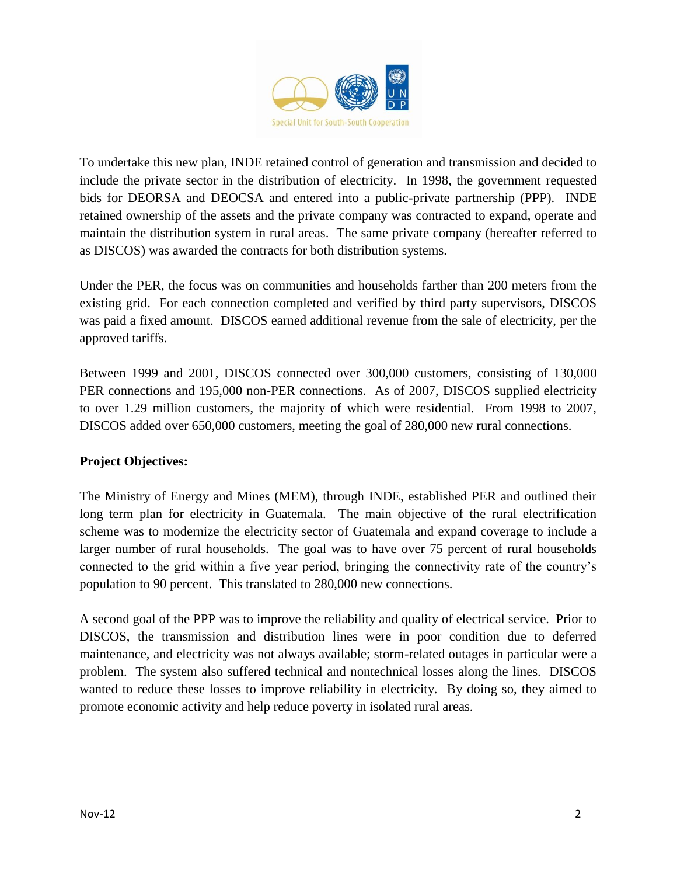

To undertake this new plan, INDE retained control of generation and transmission and decided to include the private sector in the distribution of electricity. In 1998, the government requested bids for DEORSA and DEOCSA and entered into a public-private partnership (PPP). INDE retained ownership of the assets and the private company was contracted to expand, operate and maintain the distribution system in rural areas. The same private company (hereafter referred to as DISCOS) was awarded the contracts for both distribution systems.

Under the PER, the focus was on communities and households farther than 200 meters from the existing grid. For each connection completed and verified by third party supervisors, DISCOS was paid a fixed amount. DISCOS earned additional revenue from the sale of electricity, per the approved tariffs.

Between 1999 and 2001, DISCOS connected over 300,000 customers, consisting of 130,000 PER connections and 195,000 non-PER connections. As of 2007, DISCOS supplied electricity to over 1.29 million customers, the majority of which were residential. From 1998 to 2007, DISCOS added over 650,000 customers, meeting the goal of 280,000 new rural connections.

#### **Project Objectives:**

The Ministry of Energy and Mines (MEM), through INDE, established PER and outlined their long term plan for electricity in Guatemala. The main objective of the rural electrification scheme was to modernize the electricity sector of Guatemala and expand coverage to include a larger number of rural households. The goal was to have over 75 percent of rural households connected to the grid within a five year period, bringing the connectivity rate of the country's population to 90 percent. This translated to 280,000 new connections.

A second goal of the PPP was to improve the reliability and quality of electrical service. Prior to DISCOS, the transmission and distribution lines were in poor condition due to deferred maintenance, and electricity was not always available; storm-related outages in particular were a problem. The system also suffered technical and nontechnical losses along the lines. DISCOS wanted to reduce these losses to improve reliability in electricity. By doing so, they aimed to promote economic activity and help reduce poverty in isolated rural areas.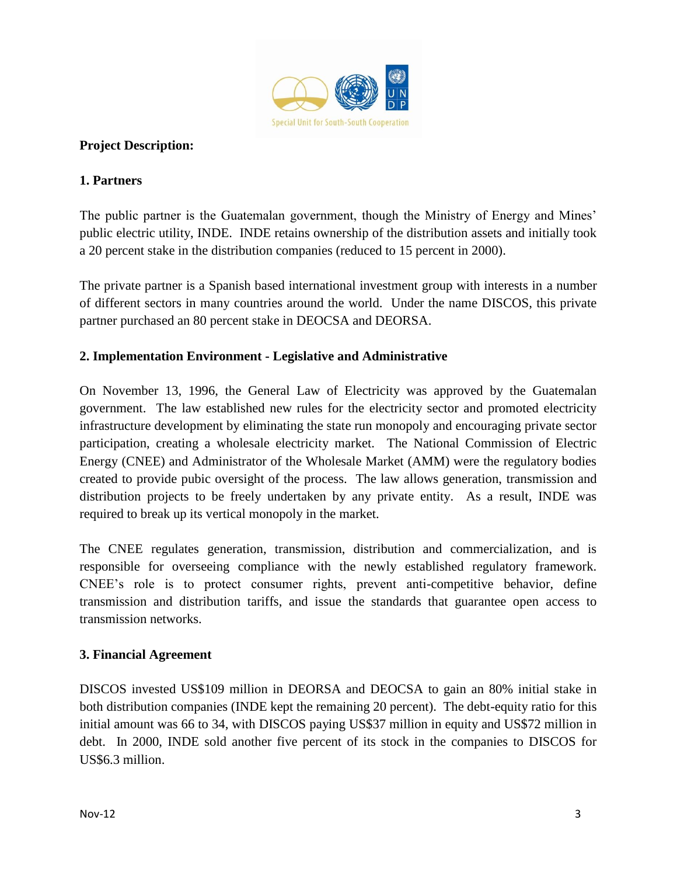

#### **Project Description:**

#### **1. Partners**

The public partner is the Guatemalan government, though the Ministry of Energy and Mines' public electric utility, INDE. INDE retains ownership of the distribution assets and initially took a 20 percent stake in the distribution companies (reduced to 15 percent in 2000).

The private partner is a Spanish based international investment group with interests in a number of different sectors in many countries around the world. Under the name DISCOS, this private partner purchased an 80 percent stake in DEOCSA and DEORSA.

#### **2. Implementation Environment - Legislative and Administrative**

On November 13, 1996, the General Law of Electricity was approved by the Guatemalan government. The law established new rules for the electricity sector and promoted electricity infrastructure development by eliminating the state run monopoly and encouraging private sector participation, creating a wholesale electricity market. The National Commission of Electric Energy (CNEE) and Administrator of the Wholesale Market (AMM) were the regulatory bodies created to provide pubic oversight of the process. The law allows generation, transmission and distribution projects to be freely undertaken by any private entity. As a result, INDE was required to break up its vertical monopoly in the market.

The CNEE regulates generation, transmission, distribution and commercialization, and is responsible for overseeing compliance with the newly established regulatory framework. CNEE's role is to protect consumer rights, prevent anti-competitive behavior, define transmission and distribution tariffs, and issue the standards that guarantee open access to transmission networks.

#### **3. Financial Agreement**

DISCOS invested US\$109 million in DEORSA and DEOCSA to gain an 80% initial stake in both distribution companies (INDE kept the remaining 20 percent). The debt-equity ratio for this initial amount was 66 to 34, with DISCOS paying US\$37 million in equity and US\$72 million in debt. In 2000, INDE sold another five percent of its stock in the companies to DISCOS for US\$6.3 million.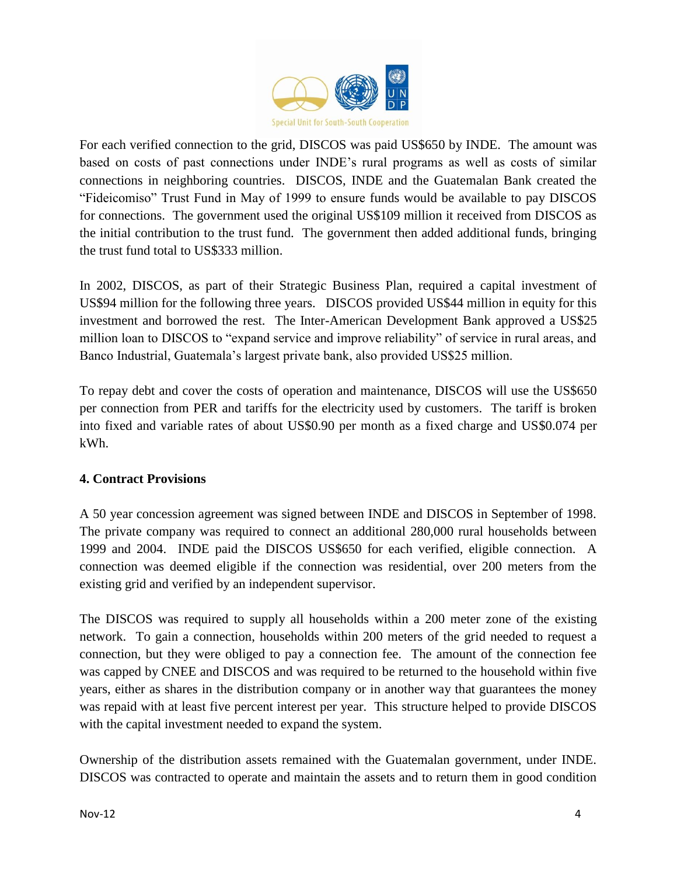

For each verified connection to the grid, DISCOS was paid US\$650 by INDE. The amount was based on costs of past connections under INDE's rural programs as well as costs of similar connections in neighboring countries. DISCOS, INDE and the Guatemalan Bank created the "Fideicomiso" Trust Fund in May of 1999 to ensure funds would be available to pay DISCOS for connections. The government used the original US\$109 million it received from DISCOS as the initial contribution to the trust fund. The government then added additional funds, bringing the trust fund total to US\$333 million.

In 2002, DISCOS, as part of their Strategic Business Plan, required a capital investment of US\$94 million for the following three years. DISCOS provided US\$44 million in equity for this investment and borrowed the rest. The Inter-American Development Bank approved a US\$25 million loan to DISCOS to "expand service and improve reliability" of service in rural areas, and Banco Industrial, Guatemala's largest private bank, also provided US\$25 million.

To repay debt and cover the costs of operation and maintenance, DISCOS will use the US\$650 per connection from PER and tariffs for the electricity used by customers. The tariff is broken into fixed and variable rates of about US\$0.90 per month as a fixed charge and US\$0.074 per kWh.

#### **4. Contract Provisions**

A 50 year concession agreement was signed between INDE and DISCOS in September of 1998. The private company was required to connect an additional 280,000 rural households between 1999 and 2004. INDE paid the DISCOS US\$650 for each verified, eligible connection. A connection was deemed eligible if the connection was residential, over 200 meters from the existing grid and verified by an independent supervisor.

The DISCOS was required to supply all households within a 200 meter zone of the existing network. To gain a connection, households within 200 meters of the grid needed to request a connection, but they were obliged to pay a connection fee. The amount of the connection fee was capped by CNEE and DISCOS and was required to be returned to the household within five years, either as shares in the distribution company or in another way that guarantees the money was repaid with at least five percent interest per year. This structure helped to provide DISCOS with the capital investment needed to expand the system.

Ownership of the distribution assets remained with the Guatemalan government, under INDE. DISCOS was contracted to operate and maintain the assets and to return them in good condition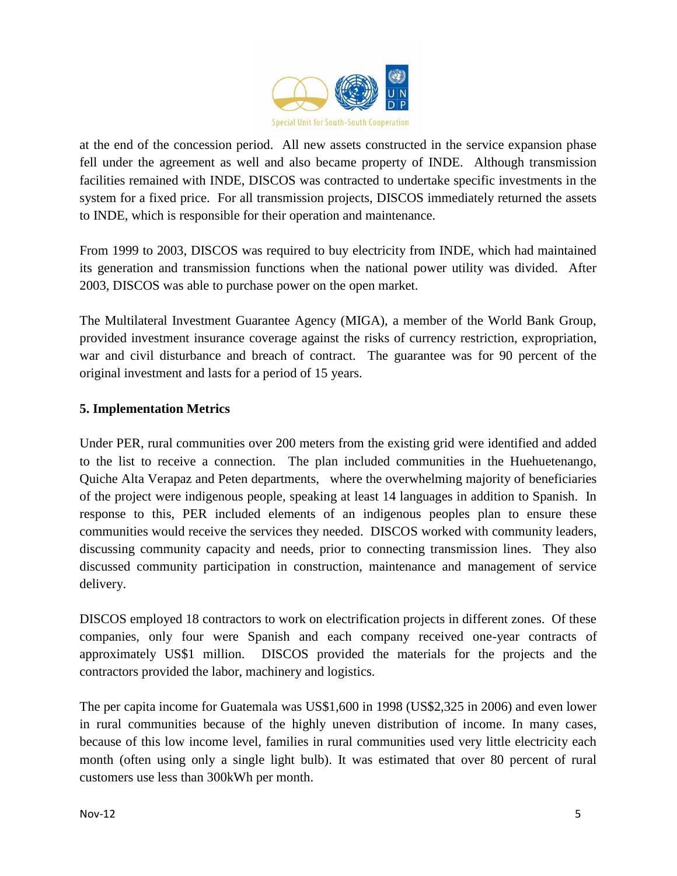

at the end of the concession period. All new assets constructed in the service expansion phase fell under the agreement as well and also became property of INDE. Although transmission facilities remained with INDE, DISCOS was contracted to undertake specific investments in the system for a fixed price. For all transmission projects, DISCOS immediately returned the assets to INDE, which is responsible for their operation and maintenance.

From 1999 to 2003, DISCOS was required to buy electricity from INDE, which had maintained its generation and transmission functions when the national power utility was divided. After 2003, DISCOS was able to purchase power on the open market.

The Multilateral Investment Guarantee Agency (MIGA), a member of the World Bank Group, provided investment insurance coverage against the risks of currency restriction, expropriation, war and civil disturbance and breach of contract. The guarantee was for 90 percent of the original investment and lasts for a period of 15 years.

# **5. Implementation Metrics**

Under PER, rural communities over 200 meters from the existing grid were identified and added to the list to receive a connection. The plan included communities in the Huehuetenango, Quiche Alta Verapaz and Peten departments, where the overwhelming majority of beneficiaries of the project were indigenous people, speaking at least 14 languages in addition to Spanish. In response to this, PER included elements of an indigenous peoples plan to ensure these communities would receive the services they needed. DISCOS worked with community leaders, discussing community capacity and needs, prior to connecting transmission lines. They also discussed community participation in construction, maintenance and management of service delivery.

DISCOS employed 18 contractors to work on electrification projects in different zones. Of these companies, only four were Spanish and each company received one-year contracts of approximately US\$1 million. DISCOS provided the materials for the projects and the contractors provided the labor, machinery and logistics.

The per capita income for Guatemala was US\$1,600 in 1998 (US\$2,325 in 2006) and even lower in rural communities because of the highly uneven distribution of income. In many cases, because of this low income level, families in rural communities used very little electricity each month (often using only a single light bulb). It was estimated that over 80 percent of rural customers use less than 300kWh per month.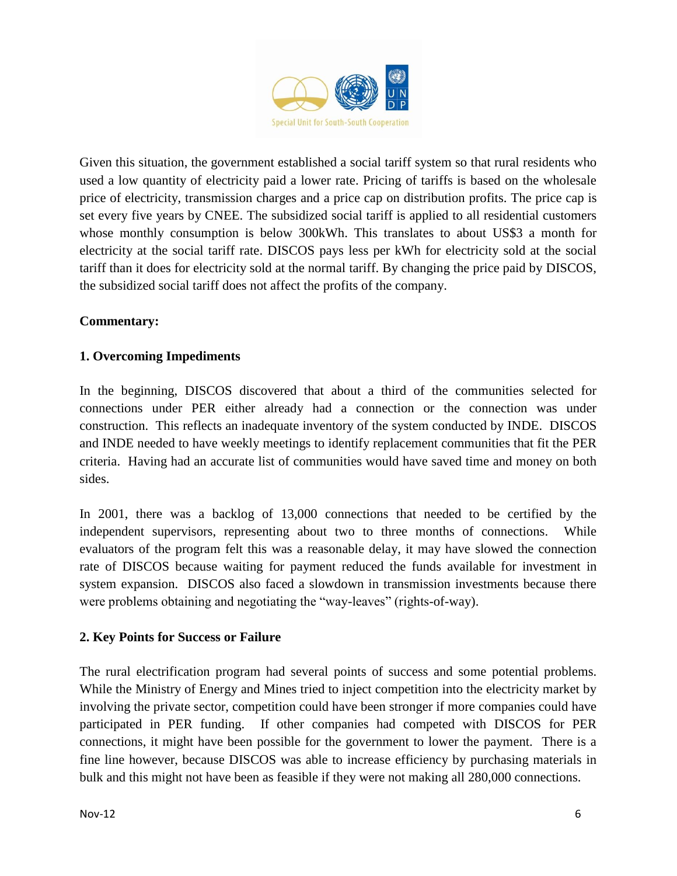

Given this situation, the government established a social tariff system so that rural residents who used a low quantity of electricity paid a lower rate. Pricing of tariffs is based on the wholesale price of electricity, transmission charges and a price cap on distribution profits. The price cap is set every five years by CNEE. The subsidized social tariff is applied to all residential customers whose monthly consumption is below 300kWh. This translates to about US\$3 a month for electricity at the social tariff rate. DISCOS pays less per kWh for electricity sold at the social tariff than it does for electricity sold at the normal tariff. By changing the price paid by DISCOS, the subsidized social tariff does not affect the profits of the company.

# **Commentary:**

# **1. Overcoming Impediments**

In the beginning, DISCOS discovered that about a third of the communities selected for connections under PER either already had a connection or the connection was under construction. This reflects an inadequate inventory of the system conducted by INDE. DISCOS and INDE needed to have weekly meetings to identify replacement communities that fit the PER criteria. Having had an accurate list of communities would have saved time and money on both sides.

In 2001, there was a backlog of 13,000 connections that needed to be certified by the independent supervisors, representing about two to three months of connections. While evaluators of the program felt this was a reasonable delay, it may have slowed the connection rate of DISCOS because waiting for payment reduced the funds available for investment in system expansion. DISCOS also faced a slowdown in transmission investments because there were problems obtaining and negotiating the "way-leaves" (rights-of-way).

#### **2. Key Points for Success or Failure**

The rural electrification program had several points of success and some potential problems. While the Ministry of Energy and Mines tried to inject competition into the electricity market by involving the private sector, competition could have been stronger if more companies could have participated in PER funding. If other companies had competed with DISCOS for PER connections, it might have been possible for the government to lower the payment. There is a fine line however, because DISCOS was able to increase efficiency by purchasing materials in bulk and this might not have been as feasible if they were not making all 280,000 connections.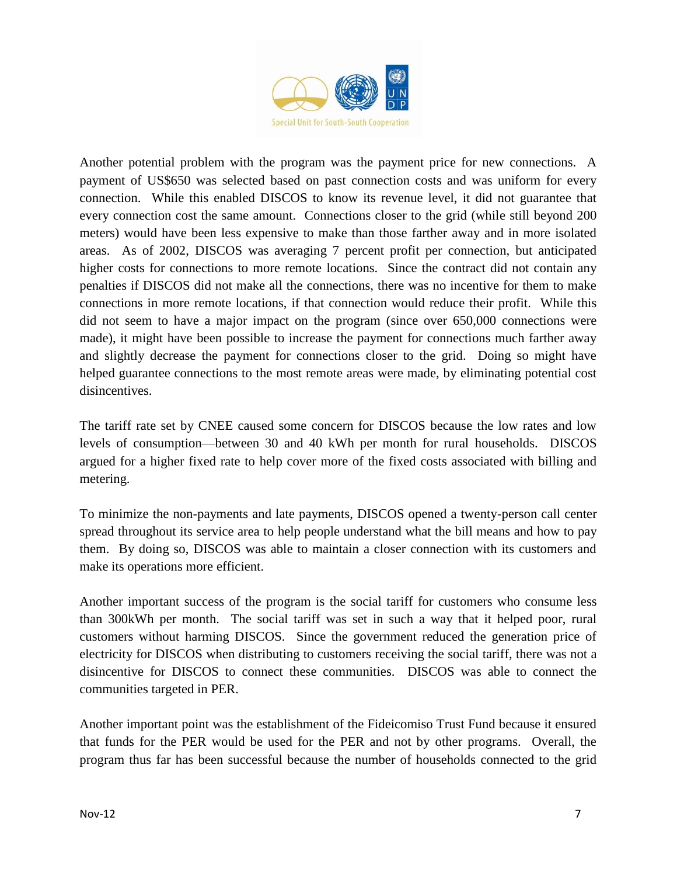

Another potential problem with the program was the payment price for new connections. A payment of US\$650 was selected based on past connection costs and was uniform for every connection. While this enabled DISCOS to know its revenue level, it did not guarantee that every connection cost the same amount. Connections closer to the grid (while still beyond 200 meters) would have been less expensive to make than those farther away and in more isolated areas. As of 2002, DISCOS was averaging 7 percent profit per connection, but anticipated higher costs for connections to more remote locations. Since the contract did not contain any penalties if DISCOS did not make all the connections, there was no incentive for them to make connections in more remote locations, if that connection would reduce their profit. While this did not seem to have a major impact on the program (since over 650,000 connections were made), it might have been possible to increase the payment for connections much farther away and slightly decrease the payment for connections closer to the grid. Doing so might have helped guarantee connections to the most remote areas were made, by eliminating potential cost disincentives.

The tariff rate set by CNEE caused some concern for DISCOS because the low rates and low levels of consumption—between 30 and 40 kWh per month for rural households. DISCOS argued for a higher fixed rate to help cover more of the fixed costs associated with billing and metering.

To minimize the non-payments and late payments, DISCOS opened a twenty-person call center spread throughout its service area to help people understand what the bill means and how to pay them. By doing so, DISCOS was able to maintain a closer connection with its customers and make its operations more efficient.

Another important success of the program is the social tariff for customers who consume less than 300kWh per month. The social tariff was set in such a way that it helped poor, rural customers without harming DISCOS. Since the government reduced the generation price of electricity for DISCOS when distributing to customers receiving the social tariff, there was not a disincentive for DISCOS to connect these communities. DISCOS was able to connect the communities targeted in PER.

Another important point was the establishment of the Fideicomiso Trust Fund because it ensured that funds for the PER would be used for the PER and not by other programs. Overall, the program thus far has been successful because the number of households connected to the grid